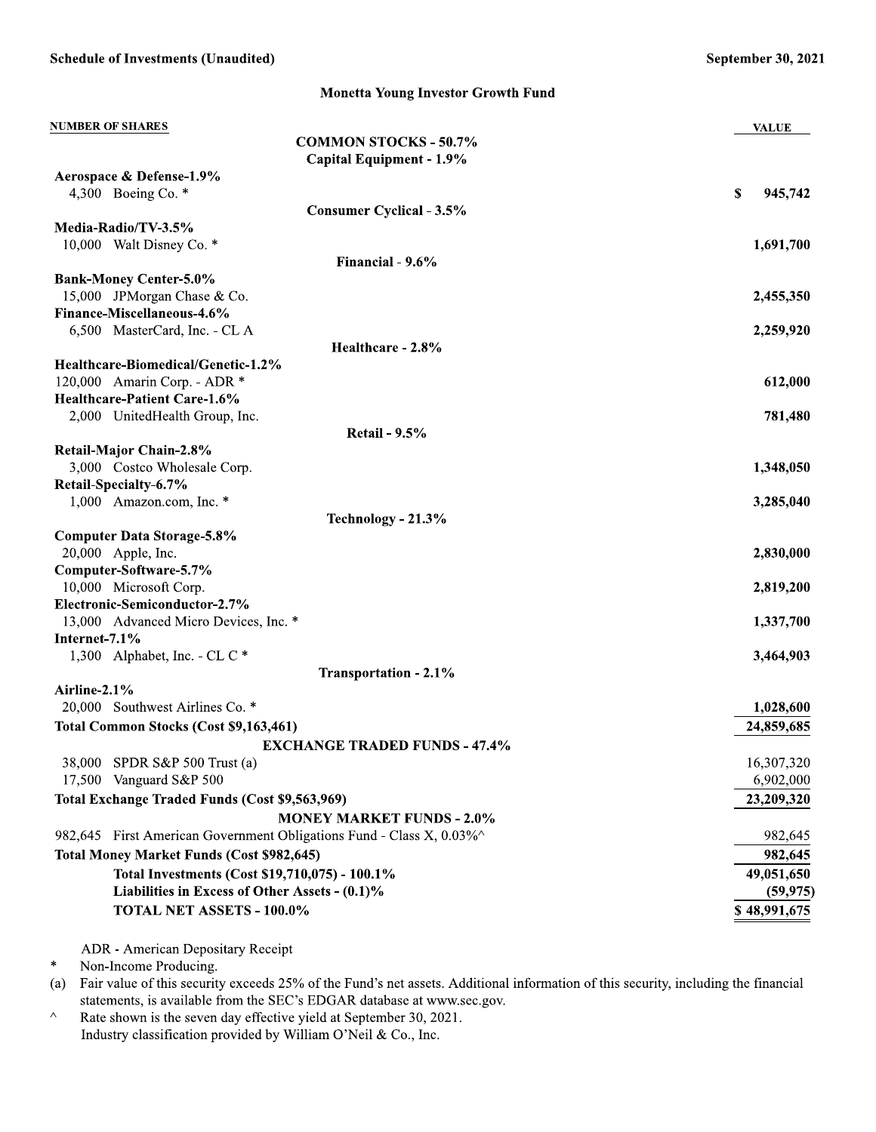**Monetta Young Investor Growth Fund** 

| <b>NUMBER OF SHARES</b>                                             | <b>VALUE</b>  |
|---------------------------------------------------------------------|---------------|
| <b>COMMON STOCKS - 50.7%</b>                                        |               |
| Capital Equipment - 1.9%                                            |               |
| Aerospace & Defense-1.9%                                            |               |
| 4,300 Boeing Co. $*$                                                | \$<br>945,742 |
| <b>Consumer Cyclical - 3.5%</b>                                     |               |
| Media-Radio/TV-3.5%<br>10,000 Walt Disney Co. *                     | 1,691,700     |
| Financial - 9.6%                                                    |               |
| <b>Bank-Money Center-5.0%</b>                                       |               |
| 15,000 JPMorgan Chase & Co.                                         | 2,455,350     |
| Finance-Miscellaneous-4.6%                                          |               |
| 6,500 MasterCard, Inc. - CL A                                       | 2,259,920     |
| Healthcare - 2.8%                                                   |               |
| Healthcare-Biomedical/Genetic-1.2%                                  |               |
| 120,000 Amarin Corp. - ADR *                                        | 612,000       |
| Healthcare-Patient Care-1.6%                                        |               |
| 2,000 UnitedHealth Group, Inc.                                      | 781,480       |
| <b>Retail - 9.5%</b>                                                |               |
| Retail-Major Chain-2.8%                                             |               |
| 3,000 Costco Wholesale Corp.                                        | 1,348,050     |
| Retail-Specialty-6.7%                                               |               |
| 1,000 Amazon.com, Inc. *                                            | 3,285,040     |
| Technology - 21.3%                                                  |               |
| <b>Computer Data Storage-5.8%</b><br>20,000 Apple, Inc.             | 2,830,000     |
| Computer-Software-5.7%                                              |               |
| 10,000 Microsoft Corp.                                              | 2,819,200     |
| Electronic-Semiconductor-2.7%                                       |               |
| 13,000 Advanced Micro Devices, Inc. *                               | 1,337,700     |
| Internet-7.1%                                                       |               |
| 1,300 Alphabet, Inc. - CL C $*$                                     | 3,464,903     |
| <b>Transportation - 2.1%</b>                                        |               |
| Airline-2.1%                                                        |               |
| 20,000 Southwest Airlines Co. *                                     | 1,028,600     |
| Total Common Stocks (Cost \$9,163,461)                              | 24,859,685    |
| <b>EXCHANGE TRADED FUNDS - 47.4%</b>                                |               |
| 38,000 SPDR S&P 500 Trust (a)                                       | 16,307,320    |
| 17,500 Vanguard S&P 500                                             | 6,902,000     |
| Total Exchange Traded Funds (Cost \$9,563,969)                      | 23,209,320    |
| <b>MONEY MARKET FUNDS - 2.0%</b>                                    |               |
| 982,645 First American Government Obligations Fund - Class X, 0.03% | 982,645       |
| <b>Total Money Market Funds (Cost \$982,645)</b>                    | 982,645       |
| Total Investments (Cost \$19,710,075) - 100.1%                      | 49,051,650    |
| Liabilities in Excess of Other Assets - (0.1)%                      | (59, 975)     |
| TOTAL NET ASSETS - 100.0%                                           | \$48,991,675  |
|                                                                     |               |

ADR - American Depositary Receipt

 $\star$ Non-Income Producing.

Fair value of this security exceeds 25% of the Fund's net assets. Additional information of this security, including the financial  $(a)$ statements, is available from the SEC's EDGAR database at www.sec.gov.

 $\color{blue}\wedge$ Rate shown is the seven day effective yield at September 30, 2021. Industry classification provided by William O'Neil & Co., Inc.